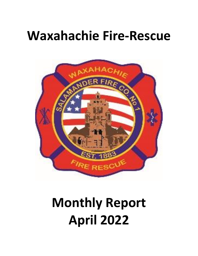## **Waxahachie Fire-Rescue**



# **Monthly Report April 2022**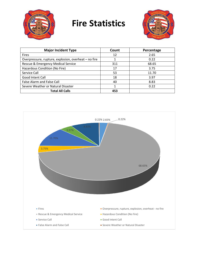

## **Fire Statistics**



| <b>Major Incident Type</b>                           | Count | Percentage |
|------------------------------------------------------|-------|------------|
| <b>Fires</b>                                         | 12    | 2.65       |
| Overpressure, rupture, explosion, overheat - no fire |       | 0.22       |
| Rescue & Emergency Medical Service                   | 311   | 68.65      |
| Hazardous Condition (No Fire)                        | 17    | 3.75       |
| Service Call                                         | 53    | 11.70      |
| <b>Good Intent Call</b>                              | 18    | 3.97       |
| False Alarm and False Call                           | 40    | 8.83       |
| Severe Weather or Natural Disaster                   | 1     | 0.22       |
| <b>Total All Calls</b>                               | 453   |            |

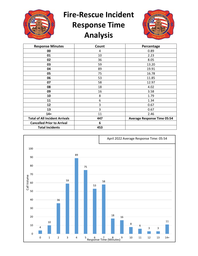

**Fire-Rescue Incident** 

### **Response Time Analysis**



| <b>Response Minutes</b>               | Count | Percentage                         |
|---------------------------------------|-------|------------------------------------|
| 00                                    | 4     | 0.89                               |
| 01                                    | 10    | 2.23                               |
| 02                                    | 36    | 8.05                               |
| 03                                    | 59    | 13.20                              |
| 04                                    | 89    | 19.91                              |
| 05                                    | 75    | 16.78                              |
| 06                                    | 53    | 11.85                              |
| 07                                    | 58    | 12.97                              |
| 08                                    | 18    | 4.02                               |
| 09                                    | 16    | 3.58                               |
| 10                                    | 8     | 1.79                               |
| 11                                    | 6     | 1.34                               |
| 12                                    | 3     | 0.67                               |
| 13                                    | 3     | 0.67                               |
| $14+$                                 | 11    | 2.46                               |
| <b>Total of All Incident Arrivals</b> | 447   | <b>Average Response Time 05:54</b> |
| <b>Cancelled Prior to Arrival</b>     | 6     |                                    |
| <b>Total Incidents</b>                | 453   |                                    |

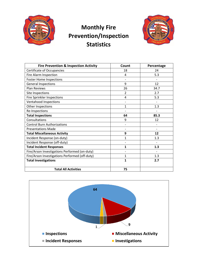

#### **Monthly Fire Prevention/Inspection Statistics**



| <b>Fire Prevention &amp; Inspection Activity</b> | Count                    | Percentage               |
|--------------------------------------------------|--------------------------|--------------------------|
| <b>Certificate of Occupancies</b>                | 18                       | 24                       |
| Fire Alarm Inspection                            | 4                        | 5.3                      |
| <b>Foster Home Inspections</b>                   |                          |                          |
| <b>General Inspections</b>                       | 9                        | 12                       |
| <b>Plan Reviews</b>                              | 26                       | 34.7                     |
| Site Inspections                                 | $\overline{2}$           | 2.7                      |
| Fire Sprinkler Inspections                       | 4                        | 5.3                      |
| <b>Ventahood Inspections</b>                     |                          |                          |
| Other Inspections                                | $\mathbf{1}$             | 1.3                      |
| Re-Inspections                                   |                          |                          |
| <b>Total Inspections</b>                         | 64                       | 85.3                     |
| Consultations                                    | 9                        | 12                       |
| <b>Control Burn Authorizations</b>               | $\overline{\phantom{a}}$ | $\overline{\phantom{a}}$ |
| <b>Presentations Made</b>                        | $\overline{\phantom{a}}$ | $\overline{\phantom{a}}$ |
| <b>Total Miscellaneous Activity</b>              | 9                        | 12                       |
| Incident Response (on-duty)                      | 1                        | 1.3                      |
| Incident Response (off-duty)                     |                          |                          |
| <b>Total Incident Responses</b>                  | 1                        | 1.3                      |
| Fire/Arson Investigations Performed (on-duty)    |                          |                          |
| Fire/Arson Investigations Performed (off-duty)   | $\mathbf{1}$             | 1.3                      |
| <b>Total Investigations</b>                      | $\mathbf{1}$             | 2.7                      |
| <b>Total All Activities</b>                      | 75                       |                          |